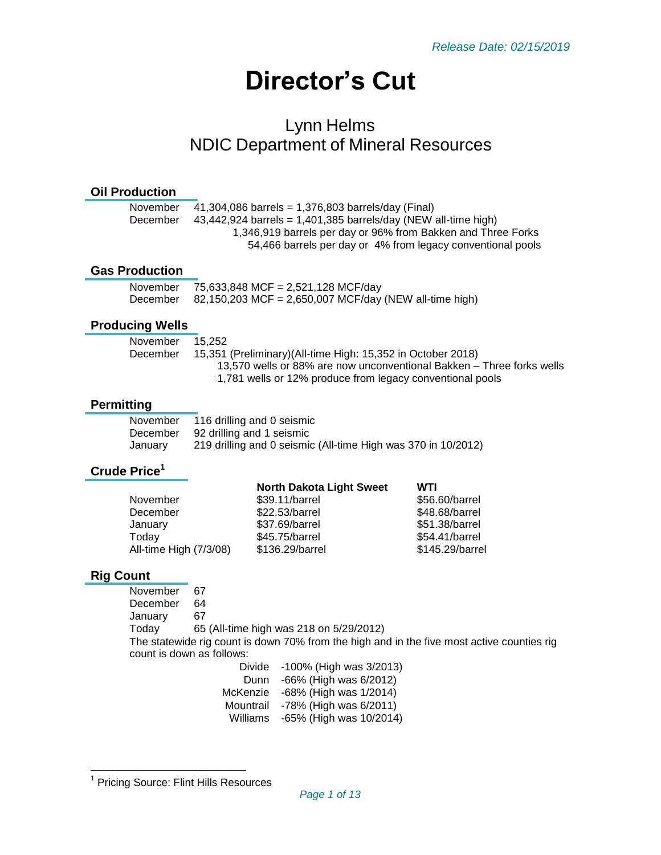# **Director's Cut**

# Lynn Helms NDIC Department of Mineral Resources

#### **Oil Production**

| November | 41,304,086 barrels = $1,376,803$ barrels/day (Final)             |
|----------|------------------------------------------------------------------|
| December | $43,442,924$ barrels = 1,401,385 barrels/day (NEW all-time high) |
|          | 1,346,919 barrels per day or 96% from Bakken and Three Forks     |
|          | 54,466 barrels per day or 4% from legacy conventional pools      |
|          |                                                                  |

#### **Gas Production**

| November | 75,633,848 MCF = 2,521,128 MCF/day                     |
|----------|--------------------------------------------------------|
| December | 82,150,203 MCF = 2,650,007 MCF/day (NEW all-time high) |

#### **Producing Wells**

| 15.252                                                                |
|-----------------------------------------------------------------------|
| 15,351 (Preliminary)(All-time High: 15,352 in October 2018)           |
| 13.570 wells or 88% are now unconventional Bakken – Three forks wells |
| 1,781 wells or 12% produce from legacy conventional pools             |
|                                                                       |

#### **Permitting**

| November | 116 drilling and 0 seismic                                    |
|----------|---------------------------------------------------------------|
| December | 92 drilling and 1 seismic                                     |
| Januarv  | 219 drilling and 0 seismic (All-time High was 370 in 10/2012) |

# **Crude Price<sup>1</sup>**

| <b>North Dakota Light Sweet</b> | WTI             |
|---------------------------------|-----------------|
| \$39.11/barrel                  | \$56.60/barrel  |
| \$22.53/barrel                  | \$48.68/barrel  |
| \$37.69/barrel                  | \$51.38/barrel  |
| \$45.75/barrel                  | \$54.41/barrel  |
| \$136.29/barrel                 | \$145.29/barrel |
|                                 |                 |

#### **Rig Count**

November 67 December 64 January 67 Today 65 (All-time high was 218 on 5/29/2012) The statewide rig count is down 70% from the high and in the five most active counties rig count is down as follows:

| Divide    | -100% (High was 3/2013) |
|-----------|-------------------------|
| Dunn      | -66% (High was 6/2012)  |
| McKenzie  | -68% (High was 1/2014)  |
| Mountrail | -78% (High was 6/2011)  |
| Williams  | -65% (High was 10/2014) |

 1 Pricing Source: Flint Hills Resources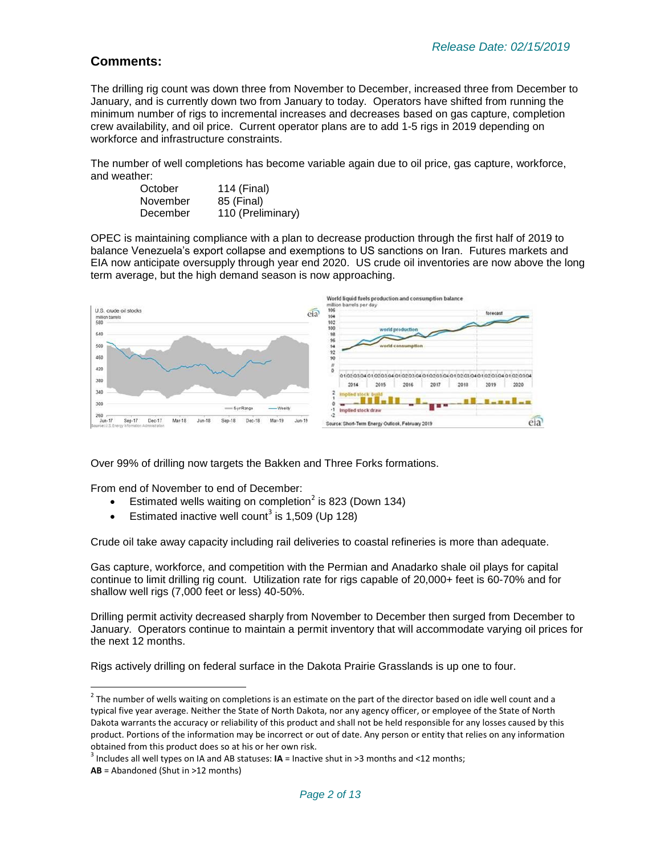#### **Comments:**

The drilling rig count was down three from November to December, increased three from December to January, and is currently down two from January to today. Operators have shifted from running the minimum number of rigs to incremental increases and decreases based on gas capture, completion crew availability, and oil price. Current operator plans are to add 1-5 rigs in 2019 depending on workforce and infrastructure constraints.

The number of well completions has become variable again due to oil price, gas capture, workforce, and weather:

| October  | 114 (Final)       |
|----------|-------------------|
| November | 85 (Final)        |
| December | 110 (Preliminary) |

OPEC is maintaining compliance with a plan to decrease production through the first half of 2019 to balance Venezuela's export collapse and exemptions to US sanctions on Iran. Futures markets and EIA now anticipate oversupply through year end 2020. US crude oil inventories are now above the long term average, but the high demand season is now approaching.



Over 99% of drilling now targets the Bakken and Three Forks formations.

From end of November to end of December:

l

- Estimated wells waiting on completion<sup>2</sup> is 823 (Down 134)
- Estimated inactive well count<sup>3</sup> is 1,509 (Up 128)

Crude oil take away capacity including rail deliveries to coastal refineries is more than adequate.

Gas capture, workforce, and competition with the Permian and Anadarko shale oil plays for capital continue to limit drilling rig count. Utilization rate for rigs capable of 20,000+ feet is 60-70% and for shallow well rigs (7,000 feet or less) 40-50%.

Drilling permit activity decreased sharply from November to December then surged from December to January. Operators continue to maintain a permit inventory that will accommodate varying oil prices for the next 12 months.

Rigs actively drilling on federal surface in the Dakota Prairie Grasslands is up one to four.

 $^2$  The number of wells waiting on completions is an estimate on the part of the director based on idle well count and a typical five year average. Neither the State of North Dakota, nor any agency officer, or employee of the State of North Dakota warrants the accuracy or reliability of this product and shall not be held responsible for any losses caused by this product. Portions of the information may be incorrect or out of date. Any person or entity that relies on any information obtained from this product does so at his or her own risk.

<sup>3</sup> Includes all well types on IA and AB statuses: **IA** = Inactive shut in >3 months and <12 months; **AB** = Abandoned (Shut in >12 months)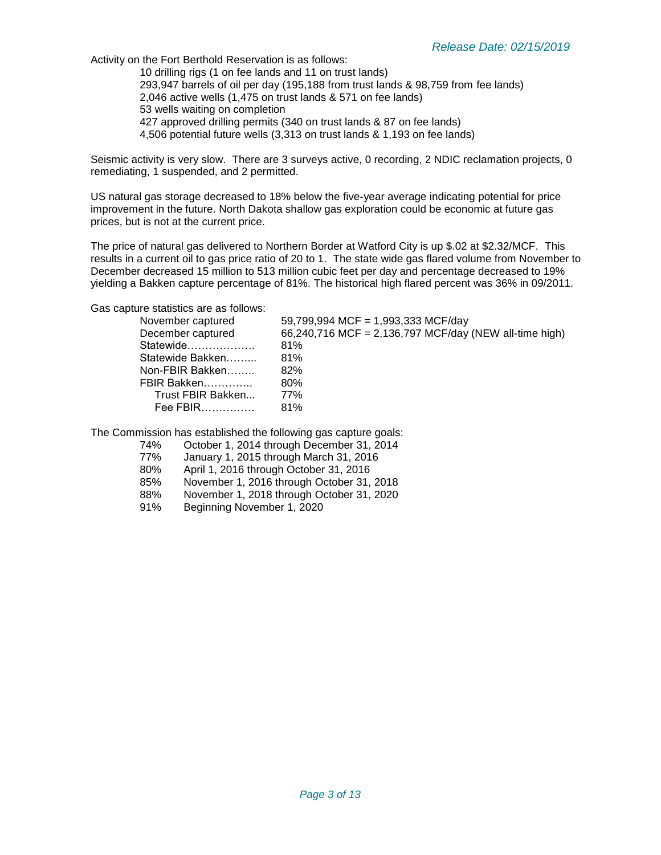Activity on the Fort Berthold Reservation is as follows:

10 drilling rigs (1 on fee lands and 11 on trust lands) 293,947 barrels of oil per day (195,188 from trust lands & 98,759 from fee lands) 2,046 active wells (1,475 on trust lands & 571 on fee lands) 53 wells waiting on completion 427 approved drilling permits (340 on trust lands & 87 on fee lands) 4,506 potential future wells (3,313 on trust lands & 1,193 on fee lands)

Seismic activity is very slow. There are 3 surveys active, 0 recording, 2 NDIC reclamation projects, 0 remediating, 1 suspended, and 2 permitted.

US natural gas storage decreased to 18% below the five-year average indicating potential for price improvement in the future. North Dakota shallow gas exploration could be economic at future gas prices, but is not at the current price.

The price of natural gas delivered to Northern Border at Watford City is up \$.02 at \$2.32/MCF. This results in a current oil to gas price ratio of 20 to 1. The state wide gas flared volume from November to December decreased 15 million to 513 million cubic feet per day and percentage decreased to 19% yielding a Bakken capture percentage of 81%. The historical high flared percent was 36% in 09/2011.

Gas capture statistics are as follows:

| 59,799,994 MCF = 1,993,333 MCF/day                     |
|--------------------------------------------------------|
| 66,240,716 MCF = 2,136,797 MCF/day (NEW all-time high) |
| 81%                                                    |
| 81%                                                    |
| 82%                                                    |
| 80%                                                    |
| 77%                                                    |
| 81%                                                    |
|                                                        |

The Commission has established the following gas capture goals:

- 74% October 1, 2014 through December 31, 2014
- January 1, 2015 through March 31, 2016
- 80% April 1, 2016 through October 31, 2016
- 85% November 1, 2016 through October 31, 2018
- 88% November 1, 2018 through October 31, 2020
- 91% Beginning November 1, 2020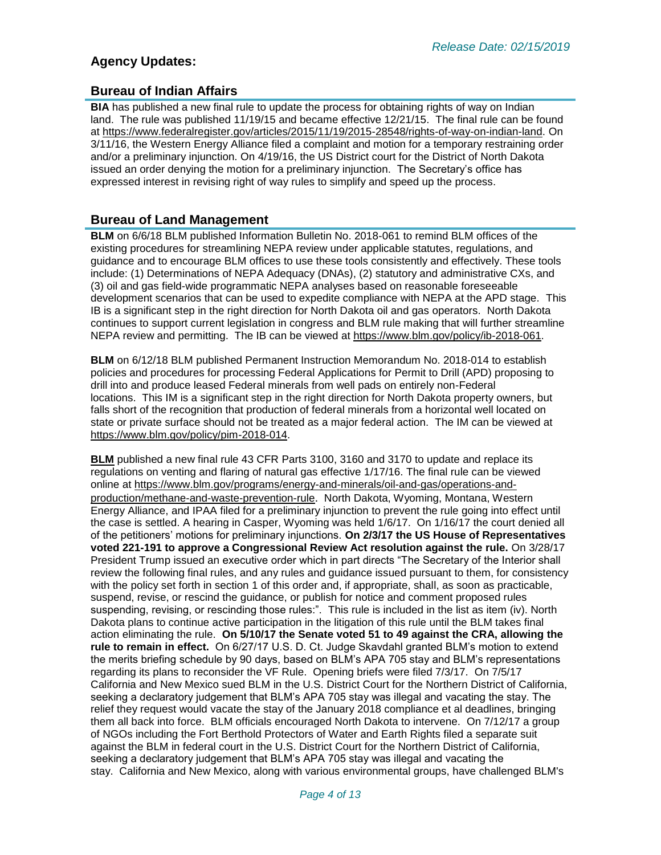# **Agency Updates:**

### **Bureau of Indian Affairs**

**BIA** has published a new final rule to update the process for obtaining rights of way on Indian land. The rule was published 11/19/15 and became effective 12/21/15. The final rule can be found at [https://www.federalregister.gov/articles/2015/11/19/2015-28548/rights-of-way-on-indian-land.](https://www.federalregister.gov/articles/2015/11/19/2015-28548/rights-of-way-on-indian-land) On 3/11/16, the Western Energy Alliance filed a complaint and motion for a temporary restraining order and/or a preliminary injunction. On 4/19/16, the US District court for the District of North Dakota issued an order denying the motion for a preliminary injunction. The Secretary's office has expressed interest in revising right of way rules to simplify and speed up the process.

#### **Bureau of Land Management**

**BLM** on 6/6/18 BLM published Information Bulletin No. 2018-061 to remind BLM offices of the existing procedures for streamlining NEPA review under applicable statutes, regulations, and guidance and to encourage BLM offices to use these tools consistently and effectively. These tools include: (1) Determinations of NEPA Adequacy (DNAs), (2) statutory and administrative CXs, and (3) oil and gas field-wide programmatic NEPA analyses based on reasonable foreseeable development scenarios that can be used to expedite compliance with NEPA at the APD stage. This IB is a significant step in the right direction for North Dakota oil and gas operators. North Dakota continues to support current legislation in congress and BLM rule making that will further streamline NEPA review and permitting. The IB can be viewed at [https://www.blm.gov/policy/ib-2018-061.](https://www.blm.gov/policy/ib-2018-061)

**BLM** on 6/12/18 BLM published Permanent Instruction Memorandum No. 2018-014 to establish policies and procedures for processing Federal Applications for Permit to Drill (APD) proposing to drill into and produce leased Federal minerals from well pads on entirely non-Federal locations. This IM is a significant step in the right direction for North Dakota property owners, but falls short of the recognition that production of federal minerals from a horizontal well located on state or private surface should not be treated as a major federal action. The IM can be viewed at [https://www.blm.gov/policy/pim-2018-014.](https://www.blm.gov/policy/pim-2018-014)

**BLM** published a new final rule 43 CFR Parts 3100, 3160 and 3170 to update and replace its regulations on venting and flaring of natural gas effective 1/17/16. The final rule can be viewed online at [https://www.blm.gov/programs/energy-and-minerals/oil-and-gas/operations-and](https://www.blm.gov/programs/energy-and-minerals/oil-and-gas/operations-and-production/methane-and-waste-prevention-rule)[production/methane-and-waste-prevention-rule](https://www.blm.gov/programs/energy-and-minerals/oil-and-gas/operations-and-production/methane-and-waste-prevention-rule). North Dakota, Wyoming, Montana, Western Energy Alliance, and IPAA filed for a preliminary injunction to prevent the rule going into effect until the case is settled. A hearing in Casper, Wyoming was held 1/6/17. On 1/16/17 the court denied all of the petitioners' motions for preliminary injunctions. **On 2/3/17 the US House of Representatives voted 221-191 to approve a Congressional Review Act resolution against the rule.** On 3/28/17 President Trump issued an executive order which in part directs "The Secretary of the Interior shall review the following final rules, and any rules and guidance issued pursuant to them, for consistency with the policy set forth in section 1 of this order and, if appropriate, shall, as soon as practicable, suspend, revise, or rescind the guidance, or publish for notice and comment proposed rules suspending, revising, or rescinding those rules:". This rule is included in the list as item (iv). North Dakota plans to continue active participation in the litigation of this rule until the BLM takes final action eliminating the rule. **On 5/10/17 the Senate voted 51 to 49 against the CRA, allowing the rule to remain in effect.** On 6/27/17 U.S. D. Ct. Judge Skavdahl granted BLM's motion to extend the merits briefing schedule by 90 days, based on BLM's APA 705 stay and BLM's representations regarding its plans to reconsider the VF Rule. Opening briefs were filed 7/3/17. On 7/5/17 California and New Mexico sued BLM in the U.S. District Court for the Northern District of California, seeking a declaratory judgement that BLM's APA 705 stay was illegal and vacating the stay. The relief they request would vacate the stay of the January 2018 compliance et al deadlines, bringing them all back into force. BLM officials encouraged North Dakota to intervene. On 7/12/17 a group of NGOs including the Fort Berthold Protectors of Water and Earth Rights filed a separate suit against the BLM in federal court in the U.S. District Court for the Northern District of California, seeking a declaratory judgement that BLM's APA 705 stay was illegal and vacating the stay. California and New Mexico, along with various environmental groups, have challenged BLM's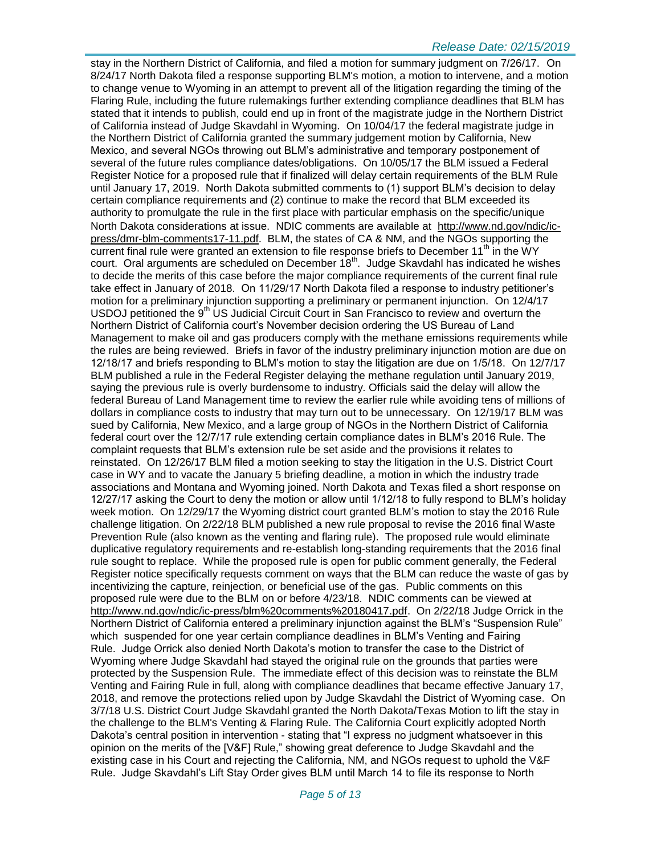#### *Release Date: 02/15/2019*

stay in the Northern District of California, and filed a motion for summary judgment on 7/26/17. On 8/24/17 North Dakota filed a response supporting BLM's motion, a motion to intervene, and a motion to change venue to Wyoming in an attempt to prevent all of the litigation regarding the timing of the Flaring Rule, including the future rulemakings further extending compliance deadlines that BLM has stated that it intends to publish, could end up in front of the magistrate judge in the Northern District of California instead of Judge Skavdahl in Wyoming. On 10/04/17 the federal magistrate judge in the Northern District of California granted the summary judgement motion by California, New Mexico, and several NGOs throwing out BLM's administrative and temporary postponement of several of the future rules compliance dates/obligations. On 10/05/17 the BLM issued a Federal Register Notice for a proposed rule that if finalized will delay certain requirements of the BLM Rule until January 17, 2019. North Dakota submitted comments to (1) support BLM's decision to delay certain compliance requirements and (2) continue to make the record that BLM exceeded its authority to promulgate the rule in the first place with particular emphasis on the specific/unique North Dakota considerations at issue. NDIC comments are available at [http://www.nd.gov/ndic/ic](http://www.nd.gov/ndic/ic-press/dmr-blm-comments17-11.pdf)[press/dmr-blm-comments17-11.pdf.](http://www.nd.gov/ndic/ic-press/dmr-blm-comments17-11.pdf) BLM, the states of CA & NM, and the NGOs supporting the current final rule were granted an extension to file response briefs to December 11<sup>th</sup> in the WY court. Oral arguments are scheduled on December  $18<sup>th</sup>$ . Judge Skavdahl has indicated he wishes to decide the merits of this case before the major compliance requirements of the current final rule take effect in January of 2018. On 11/29/17 North Dakota filed a response to industry petitioner's motion for a preliminary injunction supporting a preliminary or permanent injunction. On 12/4/17 USDOJ petitioned the 9<sup>th</sup> US Judicial Circuit Court in San Francisco to review and overturn the Northern District of California court's November decision ordering the US Bureau of Land Management to make oil and gas producers comply with the methane emissions requirements while the rules are being reviewed. Briefs in favor of the industry preliminary injunction motion are due on 12/18/17 and briefs responding to BLM's motion to stay the litigation are due on 1/5/18. On 12/7/17 BLM published a rule in the Federal Register delaying the methane regulation until January 2019, saying the previous rule is overly burdensome to industry. Officials said the delay will allow the federal Bureau of Land Management time to review the earlier rule while avoiding tens of millions of dollars in compliance costs to industry that may turn out to be unnecessary. On 12/19/17 BLM was sued by California, New Mexico, and a large group of NGOs in the Northern District of California federal court over the 12/7/17 rule extending certain compliance dates in BLM's 2016 Rule. The complaint requests that BLM's extension rule be set aside and the provisions it relates to reinstated. On 12/26/17 BLM filed a motion seeking to stay the litigation in the U.S. District Court case in WY and to vacate the January 5 briefing deadline, a motion in which the industry trade associations and Montana and Wyoming joined. North Dakota and Texas filed a short response on 12/27/17 asking the Court to deny the motion or allow until 1/12/18 to fully respond to BLM's holiday week motion. On 12/29/17 the Wyoming district court granted BLM's motion to stay the 2016 Rule challenge litigation. On 2/22/18 BLM published a new rule proposal to revise the 2016 final Waste Prevention Rule (also known as the venting and flaring rule). The proposed rule would eliminate duplicative regulatory requirements and re-establish long-standing requirements that the 2016 final rule sought to replace. While the proposed rule is open for public comment generally, the Federal Register notice specifically requests comment on ways that the BLM can reduce the waste of gas by incentivizing the capture, reinjection, or beneficial use of the gas. Public comments on this proposed rule were due to the BLM on or before 4/23/18. NDIC comments can be viewed at [http://www.nd.gov/ndic/ic-press/blm%20comments%20180417.pdf.](http://www.nd.gov/ndic/ic-press/blm%20comments%20180417.pdf) On 2/22/18 Judge Orrick in the Northern District of California entered a preliminary injunction against the BLM's "Suspension Rule" which suspended for one year certain compliance deadlines in BLM's Venting and Fairing Rule. Judge Orrick also denied North Dakota's motion to transfer the case to the District of Wyoming where Judge Skavdahl had stayed the original rule on the grounds that parties were protected by the Suspension Rule. The immediate effect of this decision was to reinstate the BLM Venting and Fairing Rule in full, along with compliance deadlines that became effective January 17, 2018, and remove the protections relied upon by Judge Skavdahl the District of Wyoming case. On 3/7/18 U.S. District Court Judge Skavdahl granted the North Dakota/Texas Motion to lift the stay in the challenge to the BLM's Venting & Flaring Rule. The California Court explicitly adopted North Dakota's central position in intervention - stating that "I express no judgment whatsoever in this opinion on the merits of the [V&F] Rule," showing great deference to Judge Skavdahl and the existing case in his Court and rejecting the California, NM, and NGOs request to uphold the V&F Rule. Judge Skavdahl's Lift Stay Order gives BLM until March 14 to file its response to North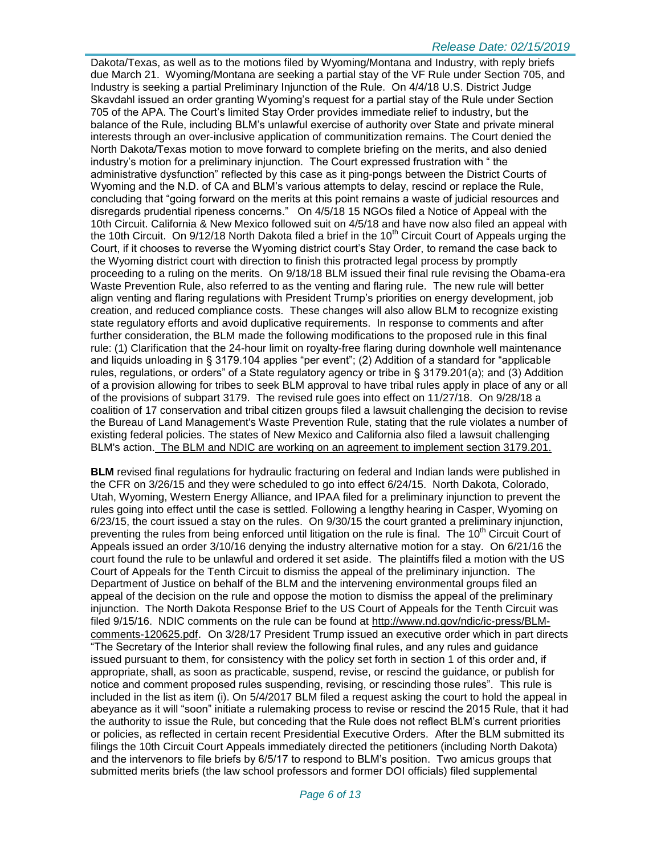#### *Release Date: 02/15/2019*

Dakota/Texas, as well as to the motions filed by Wyoming/Montana and Industry, with reply briefs due March 21. Wyoming/Montana are seeking a partial stay of the VF Rule under Section 705, and Industry is seeking a partial Preliminary Injunction of the Rule. On 4/4/18 U.S. District Judge Skavdahl issued an order granting Wyoming's request for a partial stay of the Rule under Section 705 of the APA. The Court's limited Stay Order provides immediate relief to industry, but the balance of the Rule, including BLM's unlawful exercise of authority over State and private mineral interests through an over-inclusive application of communitization remains. The Court denied the North Dakota/Texas motion to move forward to complete briefing on the merits, and also denied industry's motion for a preliminary injunction. The Court expressed frustration with " the administrative dysfunction" reflected by this case as it ping-pongs between the District Courts of Wyoming and the N.D. of CA and BLM's various attempts to delay, rescind or replace the Rule, concluding that "going forward on the merits at this point remains a waste of judicial resources and disregards prudential ripeness concerns." On 4/5/18 15 NGOs filed a Notice of Appeal with the 10th Circuit. California & New Mexico followed suit on 4/5/18 and have now also filed an appeal with the 10th Circuit. On 9/12/18 North Dakota filed a brief in the 10<sup>th</sup> Circuit Court of Appeals urging the Court, if it chooses to reverse the Wyoming district court's Stay Order, to remand the case back to the Wyoming district court with direction to finish this protracted legal process by promptly proceeding to a ruling on the merits. On 9/18/18 BLM issued their final rule revising the Obama-era Waste Prevention Rule, also referred to as the venting and flaring rule. The new rule will better align venting and flaring regulations with President Trump's priorities on energy development, job creation, and reduced compliance costs. These changes will also allow BLM to recognize existing state regulatory efforts and avoid duplicative requirements. In response to comments and after further consideration, the BLM made the following modifications to the proposed rule in this final rule: (1) Clarification that the 24-hour limit on royalty-free flaring during downhole well maintenance and liquids unloading in § 3179.104 applies "per event"; (2) Addition of a standard for "applicable rules, regulations, or orders" of a State regulatory agency or tribe in § 3179.201(a); and (3) Addition of a provision allowing for tribes to seek BLM approval to have tribal rules apply in place of any or all of the provisions of subpart 3179. The revised rule goes into effect on 11/27/18. On 9/28/18 a coalition of 17 conservation and tribal citizen groups filed a lawsuit challenging the decision to revise the Bureau of Land Management's Waste Prevention Rule, stating that the rule violates a number of existing federal policies. The states of New Mexico and California also filed a lawsuit challenging BLM's action. The BLM and NDIC are working on an agreement to implement section 3179.201.

**BLM** revised final regulations for hydraulic fracturing on federal and Indian lands were published in the CFR on 3/26/15 and they were scheduled to go into effect 6/24/15. North Dakota, Colorado, Utah, Wyoming, Western Energy Alliance, and IPAA filed for a preliminary injunction to prevent the rules going into effect until the case is settled. Following a lengthy hearing in Casper, Wyoming on 6/23/15, the court issued a stay on the rules. On 9/30/15 the court granted a preliminary injunction, preventing the rules from being enforced until litigation on the rule is final. The 10<sup>th</sup> Circuit Court of Appeals issued an order 3/10/16 denying the industry alternative motion for a stay. On 6/21/16 the court found the rule to be unlawful and ordered it set aside. The plaintiffs filed a motion with the US Court of Appeals for the Tenth Circuit to dismiss the appeal of the preliminary injunction. The Department of Justice on behalf of the BLM and the intervening environmental groups filed an appeal of the decision on the rule and oppose the motion to dismiss the appeal of the preliminary injunction. The North Dakota Response Brief to the US Court of Appeals for the Tenth Circuit was filed 9/15/16. NDIC comments on the rule can be found at [http://www.nd.gov/ndic/ic-press/BLM](http://www.nd.gov/ndic/ic-press/BLM-comments-120625.pdf)[comments-120625.pdf](http://www.nd.gov/ndic/ic-press/BLM-comments-120625.pdf). On 3/28/17 President Trump issued an executive order which in part directs "The Secretary of the Interior shall review the following final rules, and any rules and guidance issued pursuant to them, for consistency with the policy set forth in section 1 of this order and, if appropriate, shall, as soon as practicable, suspend, revise, or rescind the guidance, or publish for notice and comment proposed rules suspending, revising, or rescinding those rules". This rule is included in the list as item (i). On 5/4/2017 BLM filed a request asking the court to hold the appeal in abeyance as it will "soon" initiate a rulemaking process to revise or rescind the 2015 Rule, that it had the authority to issue the Rule, but conceding that the Rule does not reflect BLM's current priorities or policies, as reflected in certain recent Presidential Executive Orders. After the BLM submitted its filings the 10th Circuit Court Appeals immediately directed the petitioners (including North Dakota) and the intervenors to file briefs by 6/5/17 to respond to BLM's position. Two amicus groups that submitted merits briefs (the law school professors and former DOI officials) filed supplemental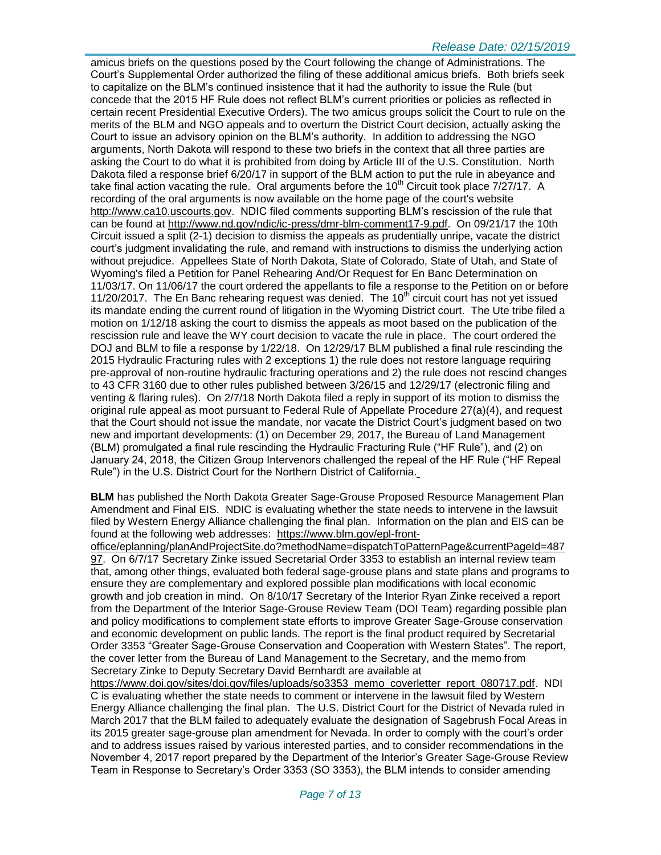#### *Release Date: 02/15/2019*

amicus briefs on the questions posed by the Court following the change of Administrations. The Court's Supplemental Order authorized the filing of these additional amicus briefs. Both briefs seek to capitalize on the BLM's continued insistence that it had the authority to issue the Rule (but concede that the 2015 HF Rule does not reflect BLM's current priorities or policies as reflected in certain recent Presidential Executive Orders). The two amicus groups solicit the Court to rule on the merits of the BLM and NGO appeals and to overturn the District Court decision, actually asking the Court to issue an advisory opinion on the BLM's authority. In addition to addressing the NGO arguments, North Dakota will respond to these two briefs in the context that all three parties are asking the Court to do what it is prohibited from doing by Article III of the U.S. Constitution. North Dakota filed a response brief 6/20/17 in support of the BLM action to put the rule in abeyance and take final action vacating the rule. Oral arguments before the  $10<sup>th</sup>$  Circuit took place  $7/27/17$ . A recording of the oral arguments is now available on the home page of the court's website [http://www.ca10.uscourts.gov.](https://urldefense.proofpoint.com/v2/url?u=http-3A__www.ca10.uscourts.gov&d=DwMGaQ&c=2s2mvbfY0UoSKkl6_Ol9wg&r=-wqsZnBxny594KY8HeElow&m=Ul_VtJUX6iW5pvHjCcBxUWtskC0F4Dhry3sPtcEHvCw&s=laRHiLDv5w8otcQWQjpn82WMieoB2AZ-Q4M1LFQPL5s&e=) NDIC filed comments supporting BLM's rescission of the rule that can be found at [http://www.nd.gov/ndic/ic-press/dmr-blm-comment17-9.pdf.](http://www.nd.gov/ndic/ic-press/dmr-blm-comment17-9.pdf) On 09/21/17 the 10th Circuit issued a split (2-1) decision to dismiss the appeals as prudentially unripe, vacate the district court's judgment invalidating the rule, and remand with instructions to dismiss the underlying action without prejudice. Appellees State of North Dakota, State of Colorado, State of Utah, and State of Wyoming's filed a Petition for Panel Rehearing And/Or Request for En Banc Determination on 11/03/17. On 11/06/17 the court ordered the appellants to file a response to the Petition on or before 11/20/2017. The En Banc rehearing request was denied. The  $10<sup>th</sup>$  circuit court has not yet issued its mandate ending the current round of litigation in the Wyoming District court. The Ute tribe filed a motion on 1/12/18 asking the court to dismiss the appeals as moot based on the publication of the rescission rule and leave the WY court decision to vacate the rule in place. The court ordered the DOJ and BLM to file a response by 1/22/18. On 12/29/17 BLM published a final rule rescinding the 2015 Hydraulic Fracturing rules with 2 exceptions 1) the rule does not restore language requiring pre-approval of non-routine hydraulic fracturing operations and 2) the rule does not rescind changes to 43 CFR 3160 due to other rules published between 3/26/15 and 12/29/17 (electronic filing and venting & flaring rules). On 2/7/18 North Dakota filed a reply in support of its motion to dismiss the original rule appeal as moot pursuant to Federal Rule of Appellate Procedure 27(a)(4), and request that the Court should not issue the mandate, nor vacate the District Court's judgment based on two new and important developments: (1) on December 29, 2017, the Bureau of Land Management (BLM) promulgated a final rule rescinding the Hydraulic Fracturing Rule ("HF Rule"), and (2) on January 24, 2018, the Citizen Group Intervenors challenged the repeal of the HF Rule ("HF Repeal Rule") in the U.S. District Court for the Northern District of California.

**BLM** has published the North Dakota Greater Sage-Grouse Proposed Resource Management Plan Amendment and Final EIS. NDIC is evaluating whether the state needs to intervene in the lawsuit filed by Western Energy Alliance challenging the final plan. Information on the plan and EIS can be found at the following web addresses: [https://www.blm.gov/epl-front-](https://www.blm.gov/epl-front-office/eplanning/planAndProjectSite.do?methodName=dispatchToPatternPage¤tPageId=48797)

[office/eplanning/planAndProjectSite.do?methodName=dispatchToPatternPage&currentPageId=487](https://www.blm.gov/epl-front-office/eplanning/planAndProjectSite.do?methodName=dispatchToPatternPage¤tPageId=48797) [97.](https://www.blm.gov/epl-front-office/eplanning/planAndProjectSite.do?methodName=dispatchToPatternPage¤tPageId=48797) On 6/7/17 Secretary Zinke issued Secretarial Order 3353 to establish an internal review team that, among other things, evaluated both federal sage-grouse plans and state plans and programs to ensure they are complementary and explored possible plan modifications with local economic growth and job creation in mind. On 8/10/17 Secretary of the Interior Ryan Zinke received a report from the Department of the Interior Sage-Grouse Review Team (DOI Team) regarding possible plan and policy modifications to complement state efforts to improve Greater Sage-Grouse conservation and economic development on public lands. The report is the final product required by Secretarial Order 3353 "Greater Sage-Grouse Conservation and Cooperation with Western States". The report, the cover letter from the Bureau of Land Management to the Secretary, and the memo from Secretary Zinke to Deputy Secretary David Bernhardt are available at

[https://www.doi.gov/sites/doi.gov/files/uploads/so3353\\_memo\\_coverletter\\_report\\_080717.pdf.](https://www.doi.gov/sites/doi.gov/files/uploads/so3353_memo_coverletter_report_080717.pdf) NDI C is evaluating whether the state needs to comment or intervene in the lawsuit filed by Western Energy Alliance challenging the final plan. The U.S. District Court for the District of Nevada ruled in March 2017 that the BLM failed to adequately evaluate the designation of Sagebrush Focal Areas in its 2015 greater sage-grouse plan amendment for Nevada. In order to comply with the court's order and to address issues raised by various interested parties, and to consider recommendations in the November 4, 2017 report prepared by the Department of the Interior's Greater Sage-Grouse Review Team in Response to Secretary's Order 3353 (SO 3353), the BLM intends to consider amending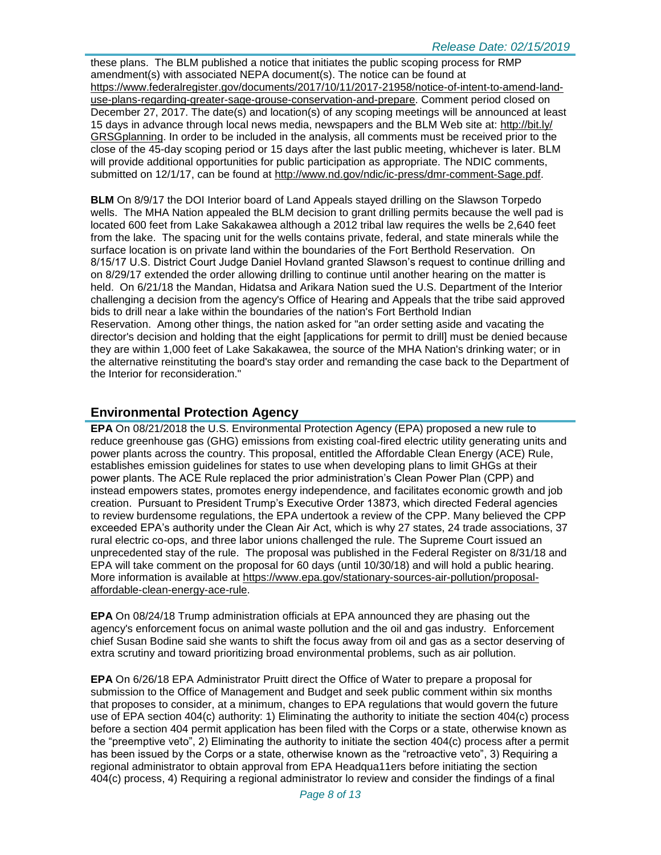these plans. The BLM published a notice that initiates the public scoping process for RMP amendment(s) with associated NEPA document(s). The notice can be found at [https://www.federalregister.gov/documents/2017/10/11/2017-21958/notice-of-intent-to-amend-land](https://www.federalregister.gov/documents/2017/10/11/2017-21958/notice-of-intent-to-amend-land-use-plans-regarding-greater-sage-grouse-conservation-and-prepare)[use-plans-regarding-greater-sage-grouse-conservation-and-prepare.](https://www.federalregister.gov/documents/2017/10/11/2017-21958/notice-of-intent-to-amend-land-use-plans-regarding-greater-sage-grouse-conservation-and-prepare) Comment period closed on December 27, 2017. The date(s) and location(s) of any scoping meetings will be announced at least 15 days in advance through local news media, newspapers and the BLM Web site at: [http://bit.ly/](http://bit.ly/​GRSGplanning) [GRSGplanning.](http://bit.ly/​GRSGplanning) In order to be included in the analysis, all comments must be received prior to the close of the 45-day scoping period or 15 days after the last public meeting, whichever is later. BLM will provide additional opportunities for public participation as appropriate. The NDIC comments, submitted on 12/1/17, can be found at [http://www.nd.gov/ndic/ic-press/dmr-comment-Sage.pdf.](http://www.nd.gov/ndic/ic-press/dmr-comment-Sage.pdf)

**BLM** On 8/9/17 the DOI Interior board of Land Appeals stayed drilling on the Slawson Torpedo wells. The MHA Nation appealed the BLM decision to grant drilling permits because the well pad is located 600 feet from Lake Sakakawea although a 2012 tribal law requires the wells be 2,640 feet from the lake. The spacing unit for the wells contains private, federal, and state minerals while the surface location is on private land within the boundaries of the Fort Berthold Reservation. On 8/15/17 U.S. District Court Judge Daniel Hovland granted Slawson's request to continue drilling and on 8/29/17 extended the order allowing drilling to continue until another hearing on the matter is held. On 6/21/18 the Mandan, Hidatsa and Arikara Nation sued the U.S. Department of the Interior challenging a decision from the agency's Office of Hearing and Appeals that the tribe said approved bids to drill near a lake within the boundaries of the nation's Fort Berthold Indian Reservation. Among other things, the nation asked for "an order setting aside and vacating the director's decision and holding that the eight [applications for permit to drill] must be denied because they are within 1,000 feet of Lake Sakakawea, the source of the MHA Nation's drinking water; or in the alternative reinstituting the board's stay order and remanding the case back to the Department of the Interior for reconsideration."

# **Environmental Protection Agency**

**EPA** On 08/21/2018 the U.S. Environmental Protection Agency (EPA) proposed a new rule to reduce greenhouse gas (GHG) emissions from existing coal-fired electric utility generating units and power plants across the country. This proposal, entitled the Affordable Clean Energy (ACE) Rule, establishes emission guidelines for states to use when developing plans to limit GHGs at their power plants. The ACE Rule replaced the prior administration's Clean Power Plan (CPP) and instead empowers states, promotes energy independence, and facilitates economic growth and job creation. Pursuant to President Trump's Executive Order 13873, which directed Federal agencies to review burdensome regulations, the EPA undertook a review of the CPP. Many believed the CPP exceeded EPA's authority under the Clean Air Act, which is why 27 states, 24 trade associations, 37 rural electric co-ops, and three labor unions challenged the rule. The Supreme Court issued an unprecedented stay of the rule. The proposal was published in the Federal Register on 8/31/18 and EPA will take comment on the proposal for 60 days (until 10/30/18) and will hold a public hearing. More information is available at [https://www.epa.gov/stationary-sources-air-pollution/proposal](https://www.epa.gov/stationary-sources-air-pollution/proposal-affordable-clean-energy-ace-rule)[affordable-clean-energy-ace-rule.](https://www.epa.gov/stationary-sources-air-pollution/proposal-affordable-clean-energy-ace-rule)

**EPA** On 08/24/18 Trump administration officials at EPA announced they are phasing out the agency's enforcement focus on animal waste pollution and the oil and gas industry. Enforcement chief Susan Bodine said she wants to shift the focus away from oil and gas as a sector deserving of extra scrutiny and toward prioritizing broad environmental problems, such as air pollution.

**EPA** On 6/26/18 EPA Administrator Pruitt direct the Office of Water to prepare a proposal for submission to the Office of Management and Budget and seek public comment within six months that proposes to consider, at a minimum, changes to EPA regulations that would govern the future use of EPA section 404(c) authority: 1) Eliminating the authority to initiate the section 404(c) process before a section 404 permit application has been filed with the Corps or a state, otherwise known as the "preemptive veto", 2) Eliminating the authority to initiate the section 404(c) process after a permit has been issued by the Corps or a state, otherwise known as the "retroactive veto", 3) Requiring a regional administrator to obtain approval from EPA Headqua11ers before initiating the section 404(c) process, 4) Requiring a regional administrator lo review and consider the findings of a final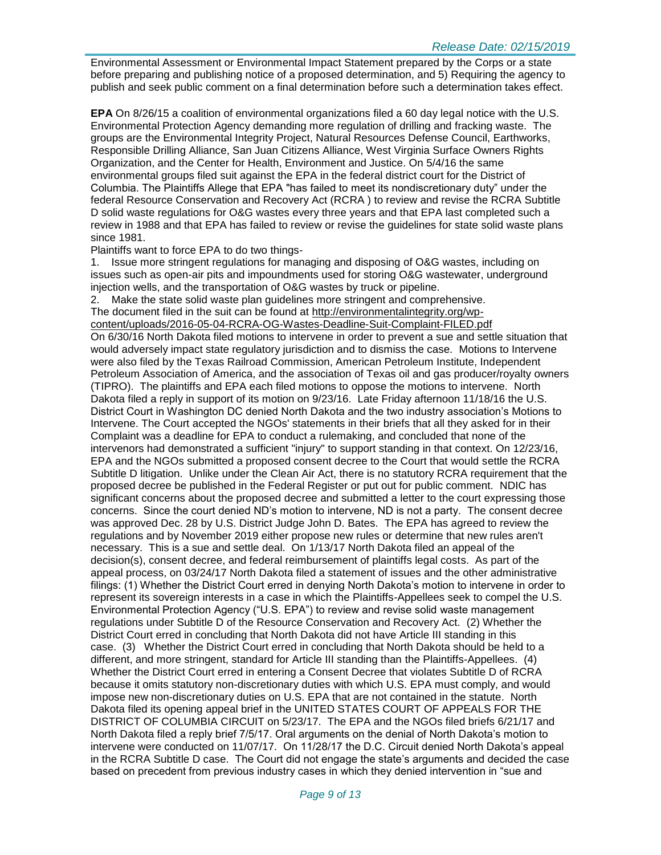Environmental Assessment or Environmental Impact Statement prepared by the Corps or a state before preparing and publishing notice of a proposed determination, and 5) Requiring the agency to publish and seek public comment on a final determination before such a determination takes effect.

**EPA** On 8/26/15 a coalition of environmental organizations filed a 60 day legal notice with the U.S. Environmental Protection Agency demanding more regulation of drilling and fracking waste. The groups are the Environmental Integrity Project, Natural Resources Defense Council, Earthworks, Responsible Drilling Alliance, San Juan Citizens Alliance, West Virginia Surface Owners Rights Organization, and the Center for Health, Environment and Justice. On 5/4/16 the same environmental groups filed suit against the EPA in the federal district court for the District of Columbia. The Plaintiffs Allege that EPA "has failed to meet its nondiscretionary duty" under the federal Resource Conservation and Recovery Act (RCRA ) to review and revise the RCRA Subtitle D solid waste regulations for O&G wastes every three years and that EPA last completed such a review in 1988 and that EPA has failed to review or revise the guidelines for state solid waste plans since 1981.

#### Plaintiffs want to force EPA to do two things-

1. Issue more stringent regulations for managing and disposing of O&G wastes, including on issues such as open-air pits and impoundments used for storing O&G wastewater, underground injection wells, and the transportation of O&G wastes by truck or pipeline.

2. Make the state solid waste plan guidelines more stringent and comprehensive. The document filed in the suit can be found at [http://environmentalintegrity.org/wp-](http://environmentalintegrity.org/wp-content/uploads/2016-05-04-RCRA-OG-Wastes-Deadline-Suit-Complaint-FILED.pdf)

[content/uploads/2016-05-04-RCRA-OG-Wastes-Deadline-Suit-Complaint-FILED.pdf](http://environmentalintegrity.org/wp-content/uploads/2016-05-04-RCRA-OG-Wastes-Deadline-Suit-Complaint-FILED.pdf)

On 6/30/16 North Dakota filed motions to intervene in order to prevent a sue and settle situation that would adversely impact state regulatory jurisdiction and to dismiss the case. Motions to Intervene were also filed by the Texas Railroad Commission, American Petroleum Institute, Independent Petroleum Association of America, and the association of Texas oil and gas producer/royalty owners (TIPRO). The plaintiffs and EPA each filed motions to oppose the motions to intervene. North Dakota filed a reply in support of its motion on 9/23/16. Late Friday afternoon 11/18/16 the U.S. District Court in Washington DC denied North Dakota and the two industry association's Motions to Intervene. The Court accepted the NGOs' statements in their briefs that all they asked for in their Complaint was a deadline for EPA to conduct a rulemaking, and concluded that none of the intervenors had demonstrated a sufficient "injury" to support standing in that context. On 12/23/16, EPA and the NGOs submitted a proposed consent decree to the Court that would settle the RCRA Subtitle D litigation. Unlike under the Clean Air Act, there is no statutory RCRA requirement that the proposed decree be published in the Federal Register or put out for public comment. NDIC has significant concerns about the proposed decree and submitted a letter to the court expressing those concerns. Since the court denied ND's motion to intervene, ND is not a party. The consent decree was approved Dec. 28 by U.S. District Judge John D. Bates. The EPA has agreed to review the regulations and by November 2019 either propose new rules or determine that new rules aren't necessary. This is a sue and settle deal. On 1/13/17 North Dakota filed an appeal of the decision(s), consent decree, and federal reimbursement of plaintiffs legal costs. As part of the appeal process, on 03/24/17 North Dakota filed a statement of issues and the other administrative filings: (1) Whether the District Court erred in denying North Dakota's motion to intervene in order to represent its sovereign interests in a case in which the Plaintiffs-Appellees seek to compel the U.S. Environmental Protection Agency ("U.S. EPA") to review and revise solid waste management regulations under Subtitle D of the Resource Conservation and Recovery Act. (2) Whether the District Court erred in concluding that North Dakota did not have Article III standing in this case. (3) Whether the District Court erred in concluding that North Dakota should be held to a different, and more stringent, standard for Article III standing than the Plaintiffs-Appellees. (4) Whether the District Court erred in entering a Consent Decree that violates Subtitle D of RCRA because it omits statutory non-discretionary duties with which U.S. EPA must comply, and would impose new non-discretionary duties on U.S. EPA that are not contained in the statute. North Dakota filed its opening appeal brief in the UNITED STATES COURT OF APPEALS FOR THE DISTRICT OF COLUMBIA CIRCUIT on 5/23/17. The EPA and the NGOs filed briefs 6/21/17 and North Dakota filed a reply brief 7/5/17. Oral arguments on the denial of North Dakota's motion to intervene were conducted on 11/07/17. On 11/28/17 the D.C. Circuit denied North Dakota's appeal in the RCRA Subtitle D case. The Court did not engage the state's arguments and decided the case based on precedent from previous industry cases in which they denied intervention in "sue and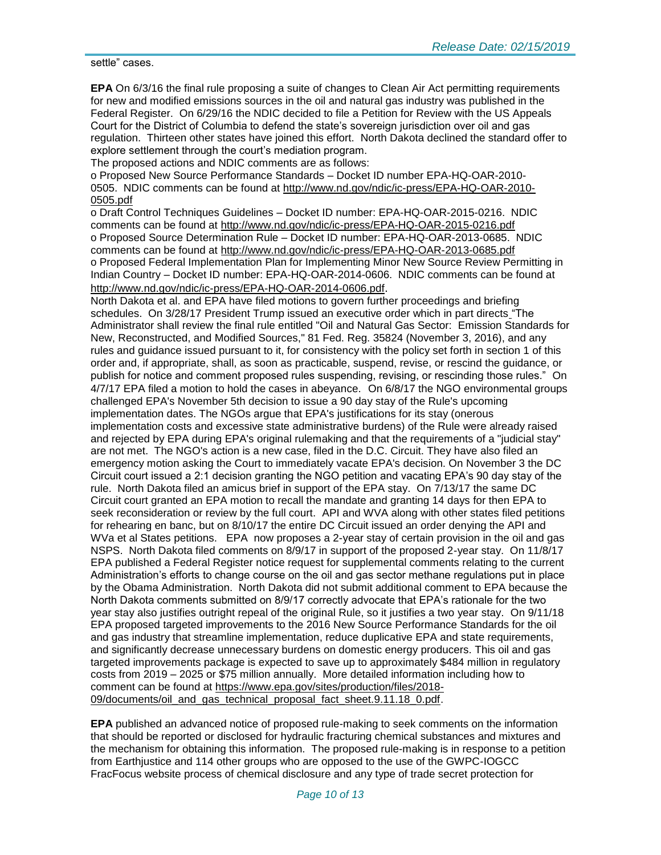settle" cases.

**EPA** On 6/3/16 the final rule proposing a suite of changes to Clean Air Act permitting requirements for new and modified emissions sources in the oil and natural gas industry was published in the Federal Register. On 6/29/16 the NDIC decided to file a Petition for Review with the US Appeals Court for the District of Columbia to defend the state's sovereign jurisdiction over oil and gas regulation. Thirteen other states have joined this effort. North Dakota declined the standard offer to explore settlement through the court's mediation program.

The proposed actions and NDIC comments are as follows:

o Proposed New Source Performance Standards – Docket ID number EPA-HQ-OAR-2010- 0505. NDIC comments can be found at [http://www.nd.gov/ndic/ic-press/EPA-HQ-OAR-2010-](http://www.nd.gov/ndic/ic-press/EPA-HQ-OAR-2010-0505.pdf) [0505.pdf](http://www.nd.gov/ndic/ic-press/EPA-HQ-OAR-2010-0505.pdf)

o Draft Control Techniques Guidelines – Docket ID number: EPA-HQ-OAR-2015-0216. NDIC comments can be found at<http://www.nd.gov/ndic/ic-press/EPA-HQ-OAR-2015-0216.pdf> o Proposed Source Determination Rule – Docket ID number: EPA-HQ-OAR-2013-0685. NDIC comments can be found at<http://www.nd.gov/ndic/ic-press/EPA-HQ-OAR-2013-0685.pdf> o Proposed Federal Implementation Plan for Implementing Minor New Source Review Permitting in Indian Country – Docket ID number: EPA-HQ-OAR-2014-0606. NDIC comments can be found at <http://www.nd.gov/ndic/ic-press/EPA-HQ-OAR-2014-0606.pdf>.

North Dakota et al. and EPA have filed motions to govern further proceedings and briefing schedules. On 3/28/17 President Trump issued an executive order which in part directs "The Administrator shall review the final rule entitled "Oil and Natural Gas Sector: Emission Standards for New, Reconstructed, and Modified Sources," 81 Fed. Reg. 35824 (November 3, 2016), and any rules and guidance issued pursuant to it, for consistency with the policy set forth in section 1 of this order and, if appropriate, shall, as soon as practicable, suspend, revise, or rescind the guidance, or publish for notice and comment proposed rules suspending, revising, or rescinding those rules." On 4/7/17 EPA filed a motion to hold the cases in abeyance. On 6/8/17 the NGO environmental groups challenged EPA's November 5th decision to issue a 90 day stay of the Rule's upcoming implementation dates. The NGOs argue that EPA's justifications for its stay (onerous implementation costs and excessive state administrative burdens) of the Rule were already raised and rejected by EPA during EPA's original rulemaking and that the requirements of a "judicial stay" are not met. The NGO's action is a new case, filed in the D.C. Circuit. They have also filed an emergency motion asking the Court to immediately vacate EPA's decision. On November 3 the DC Circuit court issued a 2:1 decision granting the NGO petition and vacating EPA's 90 day stay of the rule. North Dakota filed an amicus brief in support of the EPA stay. On 7/13/17 the same DC Circuit court granted an EPA motion to recall the mandate and granting 14 days for then EPA to seek reconsideration or review by the full court. API and WVA along with other states filed petitions for rehearing en banc, but on 8/10/17 the entire DC Circuit issued an order denying the API and WVa et al States petitions. EPA now proposes a 2-year stay of certain provision in the oil and gas NSPS. North Dakota filed comments on 8/9/17 in support of the proposed 2-year stay. On 11/8/17 EPA published a Federal Register notice request for supplemental comments relating to the current Administration's efforts to change course on the oil and gas sector methane regulations put in place by the Obama Administration. North Dakota did not submit additional comment to EPA because the North Dakota comments submitted on 8/9/17 correctly advocate that EPA's rationale for the two year stay also justifies outright repeal of the original Rule, so it justifies a two year stay. On 9/11/18 EPA proposed targeted improvements to the 2016 New Source Performance Standards for the oil and gas industry that streamline implementation, reduce duplicative EPA and state requirements, and significantly decrease unnecessary burdens on domestic energy producers. This oil and gas targeted improvements package is expected to save up to approximately \$484 million in regulatory costs from 2019 – 2025 or \$75 million annually. More detailed information including how to comment can be found at [https://www.epa.gov/sites/production/files/2018-](https://www.epa.gov/sites/production/files/2018-09/documents/oil_and_gas_technical_proposal_fact_sheet.9.11.18_0.pdf) [09/documents/oil\\_and\\_gas\\_technical\\_proposal\\_fact\\_sheet.9.11.18\\_0.pdf.](https://www.epa.gov/sites/production/files/2018-09/documents/oil_and_gas_technical_proposal_fact_sheet.9.11.18_0.pdf)

**EPA** published an advanced notice of proposed rule-making to seek comments on the information that should be reported or disclosed for hydraulic fracturing chemical substances and mixtures and the mechanism for obtaining this information. The proposed rule-making is in response to a petition from Earthjustice and 114 other groups who are opposed to the use of the GWPC-IOGCC FracFocus website process of chemical disclosure and any type of trade secret protection for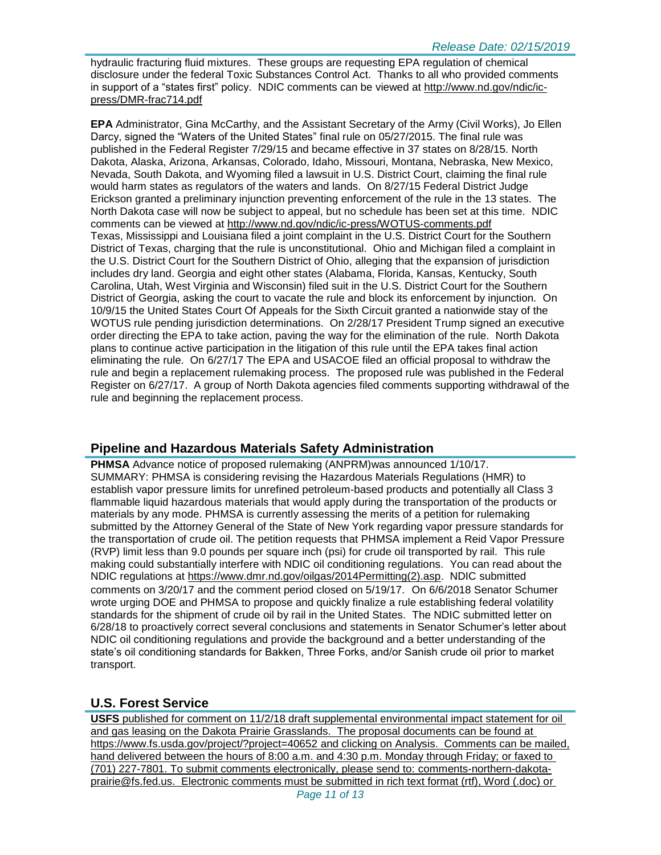hydraulic fracturing fluid mixtures. These groups are requesting EPA regulation of chemical disclosure under the federal Toxic Substances Control Act. Thanks to all who provided comments in support of a "states first" policy. NDIC comments can be viewed at [http://www.nd.gov/ndic/ic](http://www.nd.gov/ndic/ic-press/DMR-frac714.pdf)[press/DMR-frac714.pdf](http://www.nd.gov/ndic/ic-press/DMR-frac714.pdf)

**EPA** Administrator, Gina McCarthy, and the Assistant Secretary of the Army (Civil Works), Jo Ellen Darcy, signed the "Waters of the United States" final rule on 05/27/2015. The final rule was published in the Federal Register 7/29/15 and became effective in 37 states on 8/28/15. North Dakota, Alaska, Arizona, Arkansas, Colorado, Idaho, Missouri, Montana, Nebraska, New Mexico, Nevada, South Dakota, and Wyoming filed a lawsuit in U.S. District Court, claiming the final rule would harm states as regulators of the waters and lands. On 8/27/15 Federal District Judge Erickson granted a preliminary injunction preventing enforcement of the rule in the 13 states. The North Dakota case will now be subject to appeal, but no schedule has been set at this time. NDIC comments can be viewed at<http://www.nd.gov/ndic/ic-press/WOTUS-comments.pdf> Texas, Mississippi and Louisiana filed a joint complaint in the U.S. District Court for the Southern District of Texas, charging that the rule is unconstitutional. Ohio and Michigan filed a complaint in the U.S. District Court for the Southern District of Ohio, alleging that the expansion of jurisdiction includes dry land. Georgia and eight other states (Alabama, Florida, Kansas, Kentucky, South Carolina, Utah, West Virginia and Wisconsin) filed suit in the U.S. District Court for the Southern District of Georgia, asking the court to vacate the rule and block its enforcement by injunction. On 10/9/15 the United States Court Of Appeals for the Sixth Circuit granted a nationwide stay of the WOTUS rule pending jurisdiction determinations. On 2/28/17 President Trump signed an executive order directing the EPA to take action, paving the way for the elimination of the rule. North Dakota plans to continue active participation in the litigation of this rule until the EPA takes final action eliminating the rule. On 6/27/17 The EPA and USACOE filed an official proposal to withdraw the rule and begin a replacement rulemaking process. The proposed rule was published in the Federal Register on 6/27/17. A group of North Dakota agencies filed comments supporting withdrawal of the rule and beginning the replacement process.

# **Pipeline and Hazardous Materials Safety Administration**

**PHMSA** Advance notice of proposed rulemaking (ANPRM)was announced 1/10/17. SUMMARY: PHMSA is considering revising the Hazardous Materials Regulations (HMR) to establish vapor pressure limits for unrefined petroleum-based products and potentially all Class 3 flammable liquid hazardous materials that would apply during the transportation of the products or materials by any mode. PHMSA is currently assessing the merits of a petition for rulemaking submitted by the Attorney General of the State of New York regarding vapor pressure standards for the transportation of crude oil. The petition requests that PHMSA implement a Reid Vapor Pressure (RVP) limit less than 9.0 pounds per square inch (psi) for crude oil transported by rail. This rule making could substantially interfere with NDIC oil conditioning regulations. You can read about the NDIC regulations at [https://www.dmr.nd.gov/oilgas/2014Permitting\(2\).asp.](https://www.dmr.nd.gov/oilgas/2014Permitting(2).asp) NDIC submitted comments on 3/20/17 and the comment period closed on 5/19/17. On 6/6/2018 Senator Schumer wrote urging DOE and PHMSA to propose and quickly finalize a rule establishing federal volatility standards for the shipment of crude oil by rail in the United States. The NDIC submitted letter on 6/28/18 to proactively correct several conclusions and statements in Senator Schumer's letter about NDIC oil conditioning regulations and provide the background and a better understanding of the state's oil conditioning standards for Bakken, Three Forks, and/or Sanish crude oil prior to market transport.

# **U.S. Forest Service**

**USFS** published for comment on 11/2/18 draft supplemental environmental impact statement for oil and gas leasing on the Dakota Prairie Grasslands. The proposal documents can be found at <https://www.fs.usda.gov/project/?project=40652> and clicking on Analysis. Comments can be mailed, hand delivered between the hours of 8:00 a.m. and 4:30 p.m. Monday through Friday; or faxed to (701) 227-7801. To submit comments electronically, please send to: [comments-northern-dakota](mailto:comments-northern-dakota-prairie@fs.fed.us)[prairie@fs.fed.us.](mailto:comments-northern-dakota-prairie@fs.fed.us) Electronic comments must be submitted in rich text format (rtf), Word (.doc) or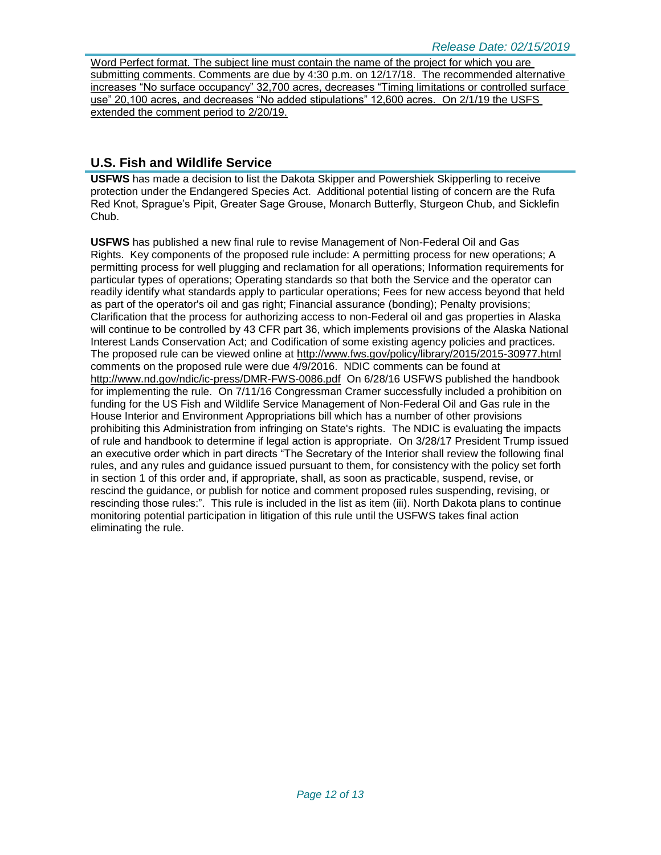Word Perfect format. The subject line must contain the name of the project for which you are submitting comments. Comments are due by 4:30 p.m. on 12/17/18. The recommended alternative increases "No surface occupancy" 32,700 acres, decreases "Timing limitations or controlled surface use" 20,100 acres, and decreases "No added stipulations" 12,600 acres. On 2/1/19 the USFS extended the comment period to 2/20/19.

# **U.S. Fish and Wildlife Service**

**USFWS** has made a decision to list the Dakota Skipper and Powershiek Skipperling to receive protection under the Endangered Species Act. Additional potential listing of concern are the Rufa Red Knot, Sprague's Pipit, Greater Sage Grouse, Monarch Butterfly, Sturgeon Chub, and Sicklefin Chub.

**USFWS** has published a new final rule to revise Management of Non-Federal Oil and Gas Rights. Key components of the proposed rule include: A permitting process for new operations; A permitting process for well plugging and reclamation for all operations; Information requirements for particular types of operations; Operating standards so that both the Service and the operator can readily identify what standards apply to particular operations; Fees for new access beyond that held as part of the operator's oil and gas right; Financial assurance (bonding); Penalty provisions; Clarification that the process for authorizing access to non-Federal oil and gas properties in Alaska will continue to be controlled by 43 CFR part 36, which implements provisions of the Alaska National Interest Lands Conservation Act; and Codification of some existing agency policies and practices. The proposed rule can be viewed online at<http://www.fws.gov/policy/library/2015/2015-30977.html> comments on the proposed rule were due 4/9/2016. NDIC comments can be found at <http://www.nd.gov/ndic/ic-press/DMR-FWS-0086.pdf> On 6/28/16 USFWS published the handbook for implementing the rule. On 7/11/16 Congressman Cramer successfully included a prohibition on funding for the US Fish and Wildlife Service Management of Non-Federal Oil and Gas rule in the House Interior and Environment Appropriations bill which has a number of other provisions prohibiting this Administration from infringing on State's rights. The NDIC is evaluating the impacts of rule and handbook to determine if legal action is appropriate. On 3/28/17 President Trump issued an executive order which in part directs "The Secretary of the Interior shall review the following final rules, and any rules and guidance issued pursuant to them, for consistency with the policy set forth in section 1 of this order and, if appropriate, shall, as soon as practicable, suspend, revise, or rescind the guidance, or publish for notice and comment proposed rules suspending, revising, or rescinding those rules:". This rule is included in the list as item (iii). North Dakota plans to continue monitoring potential participation in litigation of this rule until the USFWS takes final action eliminating the rule.